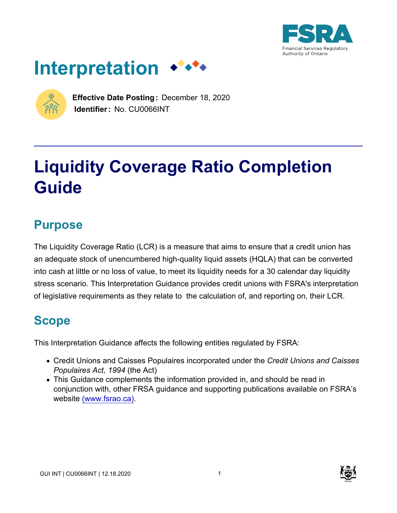





**Effective Date Posting:** December 18, 2020 **Identifier:** No. CU0066INT

# **Liquidity Coverage Ratio Completion Guide**

# **Purpose**

The Liquidity Coverage Ratio (LCR) is a measure that aims to ensure that a credit union has an adequate stock of unencumbered high-quality liquid assets (HQLA) that can be converted into cash at little or no loss of value, to meet its liquidity needs for a 30 calendar day liquidity stress scenario. This Interpretation Guidance provides credit unions with FSRA's interpretation of legislative requirements as they relate to the calculation of, and reporting on, their LCR.

# **Scope**

This Interpretation Guidance affects the following entities regulated by FSRA:

- Credit Unions and Caisses Populaires incorporated under the *Credit Unions and Caisses Populaires Act, 1994* (the Act)
- This Guidance complements the information provided in, and should be read in conjunction with, other FRSA guidance and supporting publications available on FSRA's website [\(www.fsrao.ca\).](https://fsraostg.prod.acquia-sites.com/)



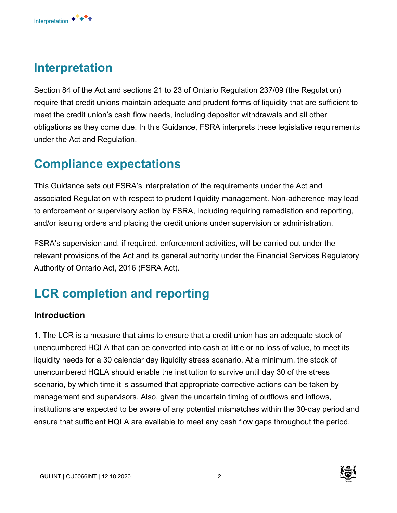# **Interpretation**

Interpretation ◆<sup>◆◆◆◆</sup>

Section 84 of the Act and sections 21 to 23 of Ontario Regulation 237/09 (the Regulation) require that credit unions maintain adequate and prudent forms of liquidity that are sufficient to meet the credit union's cash flow needs, including depositor withdrawals and all other obligations as they come due. In this Guidance, FSRA interprets these legislative requirements under the Act and Regulation.

# **Compliance expectations**

This Guidance sets out FSRA's interpretation of the requirements under the Act and associated Regulation with respect to prudent liquidity management. Non-adherence may lead to enforcement or supervisory action by FSRA, including requiring remediation and reporting, and/or issuing orders and placing the credit unions under supervision or administration.

FSRA's supervision and, if required, enforcement activities, will be carried out under the relevant provisions of the Act and its general authority under the Financial Services Regulatory Authority of Ontario Act, 2016 (FSRA Act).

# **LCR completion and reporting**

### **Introduction**

1. The LCR is a measure that aims to ensure that a credit union has an adequate stock of unencumbered HQLA that can be converted into cash at little or no loss of value, to meet its liquidity needs for a 30 calendar day liquidity stress scenario. At a minimum, the stock of unencumbered HQLA should enable the institution to survive until day 30 of the stress scenario, by which time it is assumed that appropriate corrective actions can be taken by management and supervisors. Also, given the uncertain timing of outflows and inflows, institutions are expected to be aware of any potential mismatches within the 30-day period and ensure that sufficient HQLA are available to meet any cash flow gaps throughout the period.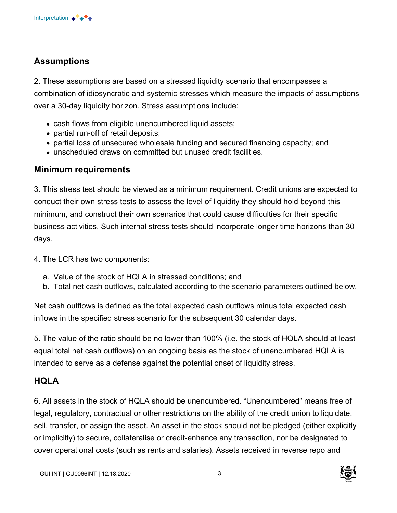# **Assumptions**

2. These assumptions are based on a stressed liquidity scenario that encompasses a combination of idiosyncratic and systemic stresses which measure the impacts of assumptions over a 30-day liquidity horizon. Stress assumptions include:

- cash flows from eligible unencumbered liquid assets;
- partial run-off of retail deposits;
- partial loss of unsecured wholesale funding and secured financing capacity; and
- unscheduled draws on committed but unused credit facilities.

# **Minimum requirements**

3. This stress test should be viewed as a minimum requirement. Credit unions are expected to conduct their own stress tests to assess the level of liquidity they should hold beyond this minimum, and construct their own scenarios that could cause difficulties for their specific business activities. Such internal stress tests should incorporate longer time horizons than 30 days.

- 4. The LCR has two components:
	- a. Value of the stock of HQLA in stressed conditions; and
	- b. Total net cash outflows, calculated according to the scenario parameters outlined below.

Net cash outflows is defined as the total expected cash outflows minus total expected cash inflows in the specified stress scenario for the subsequent 30 calendar days.

5. The value of the ratio should be no lower than 100% (i.e. the stock of HQLA should at least equal total net cash outflows) on an ongoing basis as the stock of unencumbered HQLA is intended to serve as a defense against the potential onset of liquidity stress.

# **HQLA**

6. All assets in the stock of HQLA should be unencumbered. "Unencumbered" means free of legal, regulatory, contractual or other restrictions on the ability of the credit union to liquidate, sell, transfer, or assign the asset. An asset in the stock should not be pledged (either explicitly or implicitly) to secure, collateralise or credit-enhance any transaction, nor be designated to cover operational costs (such as rents and salaries). Assets received in reverse repo and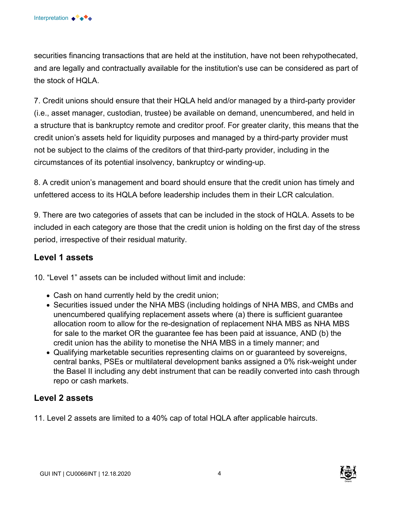securities financing transactions that are held at the institution, have not been rehypothecated, and are legally and contractually available for the institution's use can be considered as part of the stock of HQLA.

7. Credit unions should ensure that their HQLA held and/or managed by a third-party provider (i.e., asset manager, custodian, trustee) be available on demand, unencumbered, and held in a structure that is bankruptcy remote and creditor proof. For greater clarity, this means that the credit union's assets held for liquidity purposes and managed by a third-party provider must not be subject to the claims of the creditors of that third-party provider, including in the circumstances of its potential insolvency, bankruptcy or winding-up.

8. A credit union's management and board should ensure that the credit union has timely and unfettered access to its HQLA before leadership includes them in their LCR calculation.

9. There are two categories of assets that can be included in the stock of HQLA. Assets to be included in each category are those that the credit union is holding on the first day of the stress period, irrespective of their residual maturity.

# **Level 1 assets**

10. "Level 1" assets can be included without limit and include:

- Cash on hand currently held by the credit union;
- Securities issued under the NHA MBS (including holdings of NHA MBS, and CMBs and unencumbered qualifying replacement assets where (a) there is sufficient guarantee allocation room to allow for the re-designation of replacement NHA MBS as NHA MBS for sale to the market OR the guarantee fee has been paid at issuance, AND (b) the credit union has the ability to monetise the NHA MBS in a timely manner; and
- Qualifying marketable securities representing claims on or guaranteed by sovereigns, central banks, PSEs or multilateral development banks assigned a 0% risk-weight under the Basel II including any debt instrument that can be readily converted into cash through repo or cash markets.

# **Level 2 assets**

11. Level 2 assets are limited to a 40% cap of total HQLA after applicable haircuts.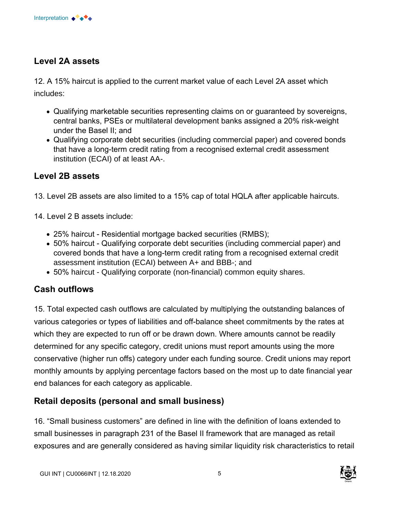

# **Level 2A assets**

12. A 15% haircut is applied to the current market value of each Level 2A asset which includes:

- Qualifying marketable securities representing claims on or guaranteed by sovereigns, central banks, PSEs or multilateral development banks assigned a 20% risk-weight under the Basel II; and
- Qualifying corporate debt securities (including commercial paper) and covered bonds that have a long-term credit rating from a recognised external credit assessment institution (ECAI) of at least AA-.

# **Level 2B assets**

- 13. Level 2B assets are also limited to a 15% cap of total HQLA after applicable haircuts.
- 14. Level 2 B assets include:
	- 25% haircut Residential mortgage backed securities (RMBS);
	- 50% haircut Qualifying corporate debt securities (including commercial paper) and covered bonds that have a long-term credit rating from a recognised external credit assessment institution (ECAI) between A+ and BBB-; and
	- 50% haircut Qualifying corporate (non-financial) common equity shares.

### **Cash outflows**

15. Total expected cash outflows are calculated by multiplying the outstanding balances of various categories or types of liabilities and off-balance sheet commitments by the rates at which they are expected to run off or be drawn down. Where amounts cannot be readily determined for any specific category, credit unions must report amounts using the more conservative (higher run offs) category under each funding source. Credit unions may report monthly amounts by applying percentage factors based on the most up to date financial year end balances for each category as applicable.

### **Retail deposits (personal and small business)**

16. "Small business customers" are defined in line with the definition of loans extended to small businesses in paragraph 231 of the Basel II framework that are managed as retail exposures and are generally considered as having similar liquidity risk characteristics to retail

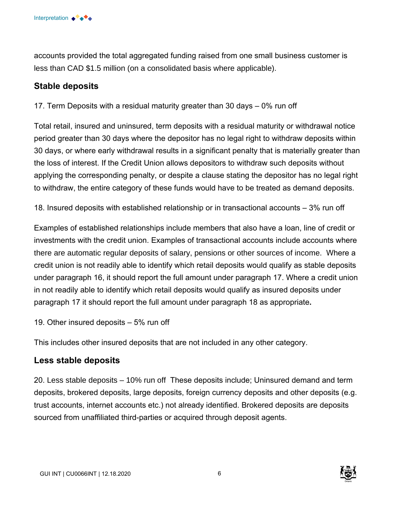

accounts provided the total aggregated funding raised from one small business customer is less than CAD \$1.5 million (on a consolidated basis where applicable).

### **Stable deposits**

17. Term Deposits with a residual maturity greater than 30 days – 0% run off

Total retail, insured and uninsured, term deposits with a residual maturity or withdrawal notice period greater than 30 days where the depositor has no legal right to withdraw deposits within 30 days, or where early withdrawal results in a significant penalty that is materially greater than the loss of interest. If the Credit Union allows depositors to withdraw such deposits without applying the corresponding penalty, or despite a clause stating the depositor has no legal right to withdraw, the entire category of these funds would have to be treated as demand deposits.

18. Insured deposits with established relationship or in transactional accounts – 3% run off

Examples of established relationships include members that also have a loan, line of credit or investments with the credit union. Examples of transactional accounts include accounts where there are automatic regular deposits of salary, pensions or other sources of income. Where a credit union is not readily able to identify which retail deposits would qualify as stable deposits under paragraph 16, it should report the full amount under paragraph 17. Where a credit union in not readily able to identify which retail deposits would qualify as insured deposits under paragraph 17 it should report the full amount under paragraph 18 as appropriate**.** 

19. Other insured deposits – 5% run off

This includes other insured deposits that are not included in any other category.

### **Less stable deposits**

20. Less stable deposits – 10% run off These deposits include; Uninsured demand and term deposits, brokered deposits, large deposits, foreign currency deposits and other deposits (e.g. trust accounts, internet accounts etc.) not already identified. Brokered deposits are deposits sourced from unaffiliated third-parties or acquired through deposit agents.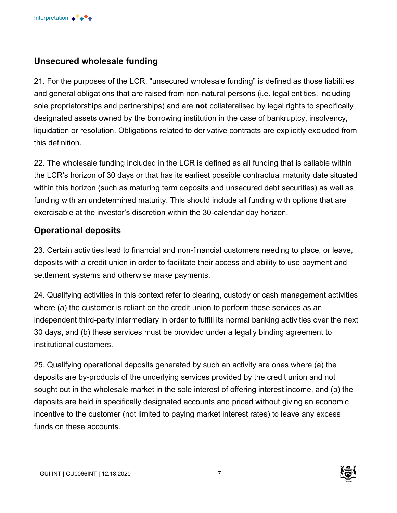# **Unsecured wholesale funding**

21. For the purposes of the LCR, "unsecured wholesale funding" is defined as those liabilities and general obligations that are raised from non-natural persons (i.e. legal entities, including sole proprietorships and partnerships) and are **not** collateralised by legal rights to specifically designated assets owned by the borrowing institution in the case of bankruptcy, insolvency, liquidation or resolution. Obligations related to derivative contracts are explicitly excluded from this definition.

22. The wholesale funding included in the LCR is defined as all funding that is callable within the LCR's horizon of 30 days or that has its earliest possible contractual maturity date situated within this horizon (such as maturing term deposits and unsecured debt securities) as well as funding with an undetermined maturity. This should include all funding with options that are exercisable at the investor's discretion within the 30-calendar day horizon.

# **Operational deposits**

23. Certain activities lead to financial and non-financial customers needing to place, or leave, deposits with a credit union in order to facilitate their access and ability to use payment and settlement systems and otherwise make payments.

24. Qualifying activities in this context refer to clearing, custody or cash management activities where (a) the customer is reliant on the credit union to perform these services as an independent third-party intermediary in order to fulfill its normal banking activities over the next 30 days, and (b) these services must be provided under a legally binding agreement to institutional customers.

25. Qualifying operational deposits generated by such an activity are ones where (a) the deposits are by-products of the underlying services provided by the credit union and not sought out in the wholesale market in the sole interest of offering interest income, and (b) the deposits are held in specifically designated accounts and priced without giving an economic incentive to the customer (not limited to paying market interest rates) to leave any excess funds on these accounts.

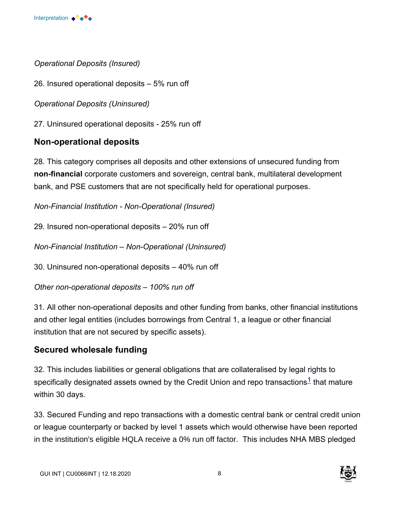

*Operational Deposits (Insured)* 

26. Insured operational deposits – 5% run off

*Operational Deposits (Uninsured)* 

27. Uninsured operational deposits - 25% run off

# **Non-operational deposits**

28. This category comprises all deposits and other extensions of unsecured funding from **non-financial** corporate customers and sovereign, central bank, multilateral development bank, and PSE customers that are not specifically held for operational purposes.

*Non-Financial Institution - Non-Operational (Insured)* 

29. Insured non-operational deposits – 20% run off

*Non-Financial Institution – Non-Operational (Uninsured)* 

30. Uninsured non-operational deposits – 40% run off

*Other non-operational deposits – 100% run off* 

31. All other non-operational deposits and other funding from banks, other financial institutions and other legal entities (includes borrowings from Central 1, a league or other financial institution that are not secured by specific assets).

# **Secured wholesale funding**

32. This includes liabilities or general obligations that are collateralised by legal rights to specifically designated assets owned by the Credit Union and repo transactions<sup>1</sup> that mature within 30 days.

33. Secured Funding and repo transactions with a domestic central bank or central credit union or league counterparty or backed by level 1 assets which would otherwise have been reported in the institution's eligible HQLA receive a 0% run off factor. This includes NHA MBS pledged

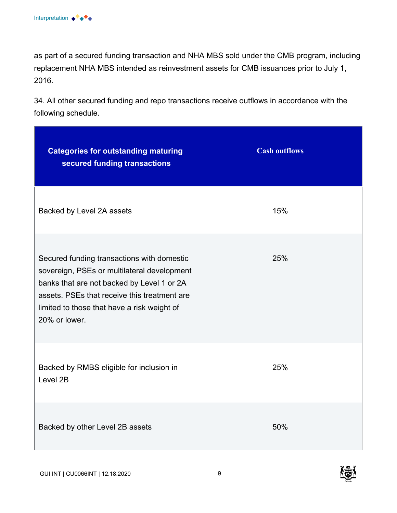as part of a secured funding transaction and NHA MBS sold under the CMB program, including replacement NHA MBS intended as reinvestment assets for CMB issuances prior to July 1, 2016.

34. All other secured funding and repo transactions receive outflows in accordance with the following schedule.

| <b>Categories for outstanding maturing</b><br>secured funding transactions                                                                                                                                                                              | <b>Cash outflows</b> |
|---------------------------------------------------------------------------------------------------------------------------------------------------------------------------------------------------------------------------------------------------------|----------------------|
| Backed by Level 2A assets                                                                                                                                                                                                                               | 15%                  |
| Secured funding transactions with domestic<br>sovereign, PSEs or multilateral development<br>banks that are not backed by Level 1 or 2A<br>assets. PSEs that receive this treatment are<br>limited to those that have a risk weight of<br>20% or lower. | 25%                  |
| Backed by RMBS eligible for inclusion in<br>Level 2B                                                                                                                                                                                                    | 25%                  |
| Backed by other Level 2B assets                                                                                                                                                                                                                         | 50%                  |



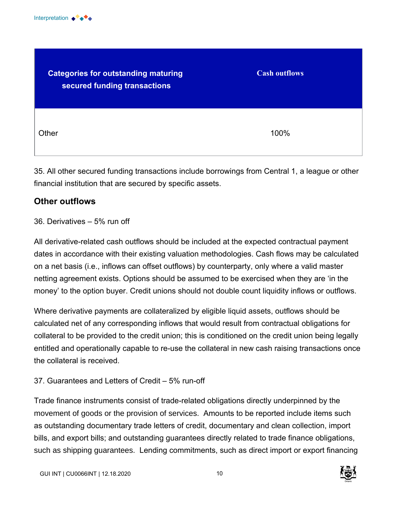

| <b>Categories for outstanding maturing</b><br>secured funding transactions | <b>Cash outflows</b> |
|----------------------------------------------------------------------------|----------------------|
| Other                                                                      | 100%                 |

35. All other secured funding transactions include borrowings from Central 1, a league or other financial institution that are secured by specific assets.

# **Other outflows**

#### 36. Derivatives – 5% run off

All derivative-related cash outflows should be included at the expected contractual payment dates in accordance with their existing valuation methodologies. Cash flows may be calculated on a net basis (i.e., inflows can offset outflows) by counterparty, only where a valid master netting agreement exists. Options should be assumed to be exercised when they are 'in the money' to the option buyer. Credit unions should not double count liquidity inflows or outflows.

Where derivative payments are collateralized by eligible liquid assets, outflows should be calculated net of any corresponding inflows that would result from contractual obligations for collateral to be provided to the credit union; this is conditioned on the credit union being legally entitled and operationally capable to re-use the collateral in new cash raising transactions once the collateral is received.

#### 37. Guarantees and Letters of Credit – 5% run-off

Trade finance instruments consist of trade-related obligations directly underpinned by the movement of goods or the provision of services. Amounts to be reported include items such as outstanding documentary trade letters of credit, documentary and clean collection, import bills, and export bills; and outstanding guarantees directly related to trade finance obligations, such as shipping guarantees. Lending commitments, such as direct import or export financing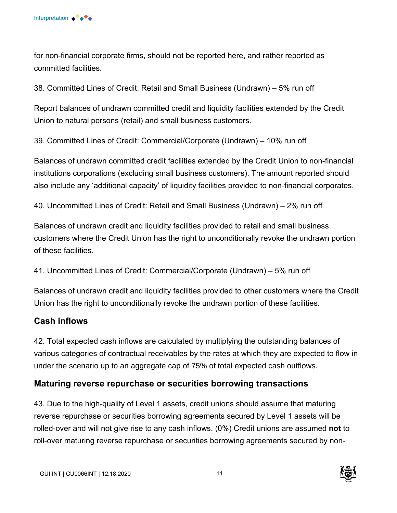for non-financial corporate firms, should not be reported here, and rather reported as committed facilities.

38. Committed Lines of Credit: Retail and Small Business (Undrawn) – 5% run off

Report balances of undrawn committed credit and liquidity facilities extended by the Credit Union to natural persons (retail) and small business customers.

39. Committed Lines of Credit: Commercial/Corporate (Undrawn) – 10% run off

Balances of undrawn committed credit facilities extended by the Credit Union to non-financial institutions corporations (excluding small business customers). The amount reported should also include any 'additional capacity' of liquidity facilities provided to non-financial corporates.

40. Uncommitted Lines of Credit: Retail and Small Business (Undrawn) – 2% run off

Balances of undrawn credit and liquidity facilities provided to retail and small business customers where the Credit Union has the right to unconditionally revoke the undrawn portion of these facilities.

41. Uncommitted Lines of Credit: Commercial/Corporate (Undrawn) – 5% run off

Balances of undrawn credit and liquidity facilities provided to other customers where the Credit Union has the right to unconditionally revoke the undrawn portion of these facilities.

# **Cash inflows**

42. Total expected cash inflows are calculated by multiplying the outstanding balances of various categories of contractual receivables by the rates at which they are expected to flow in under the scenario up to an aggregate cap of 75% of total expected cash outflows.

### **Maturing reverse repurchase or securities borrowing transactions**

43. Due to the high-quality of Level 1 assets, credit unions should assume that maturing reverse repurchase or securities borrowing agreements secured by Level 1 assets will be rolled-over and will not give rise to any cash inflows. (0%) Credit unions are assumed **not** to roll-over maturing reverse repurchase or securities borrowing agreements secured by non-

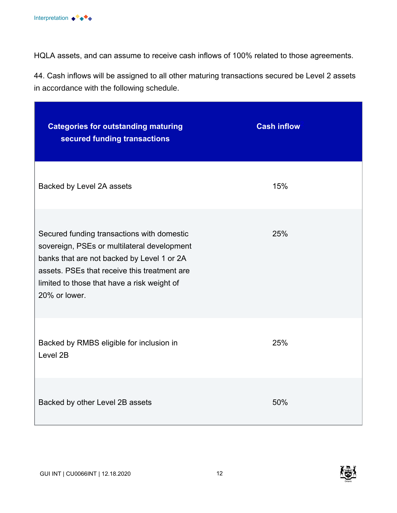HQLA assets, and can assume to receive cash inflows of 100% related to those agreements.

44. Cash inflows will be assigned to all other maturing transactions secured be Level 2 assets in accordance with the following schedule.

| <b>Categories for outstanding maturing</b><br>secured funding transactions                                                                                                                                                                              | <b>Cash inflow</b> |
|---------------------------------------------------------------------------------------------------------------------------------------------------------------------------------------------------------------------------------------------------------|--------------------|
| Backed by Level 2A assets                                                                                                                                                                                                                               | 15%                |
| Secured funding transactions with domestic<br>sovereign, PSEs or multilateral development<br>banks that are not backed by Level 1 or 2A<br>assets. PSEs that receive this treatment are<br>limited to those that have a risk weight of<br>20% or lower. | 25%                |
| Backed by RMBS eligible for inclusion in<br>Level 2B                                                                                                                                                                                                    | 25%                |
| Backed by other Level 2B assets                                                                                                                                                                                                                         | 50%                |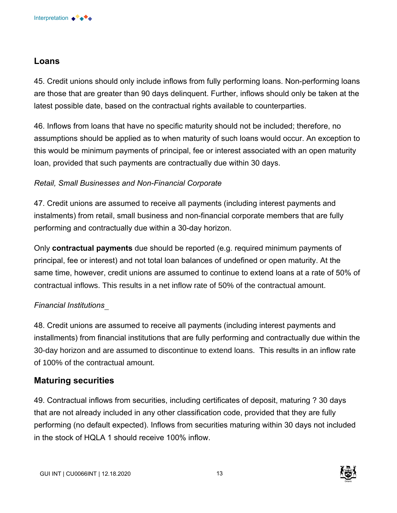# **Loans**

45. Credit unions should only include inflows from fully performing loans. Non-performing loans are those that are greater than 90 days delinquent. Further, inflows should only be taken at the latest possible date, based on the contractual rights available to counterparties.

46. Inflows from loans that have no specific maturity should not be included; therefore, no assumptions should be applied as to when maturity of such loans would occur. An exception to this would be minimum payments of principal, fee or interest associated with an open maturity loan, provided that such payments are contractually due within 30 days.

# *Retail, Small Businesses and Non-Financial Corporate*

47. Credit unions are assumed to receive all payments (including interest payments and instalments) from retail, small business and non-financial corporate members that are fully performing and contractually due within a 30-day horizon.

Only **contractual payments** due should be reported (e.g. required minimum payments of principal, fee or interest) and not total loan balances of undefined or open maturity. At the same time, however, credit unions are assumed to continue to extend loans at a rate of 50% of contractual inflows. This results in a net inflow rate of 50% of the contractual amount.

# *Financial Institutions*

48. Credit unions are assumed to receive all payments (including interest payments and installments) from financial institutions that are fully performing and contractually due within the 30-day horizon and are assumed to discontinue to extend loans. This results in an inflow rate of 100% of the contractual amount.

# **Maturing securities**

49. Contractual inflows from securities, including certificates of deposit, maturing ? 30 days that are not already included in any other classification code, provided that they are fully performing (no default expected). Inflows from securities maturing within 30 days not included in the stock of HQLA 1 should receive 100% inflow.

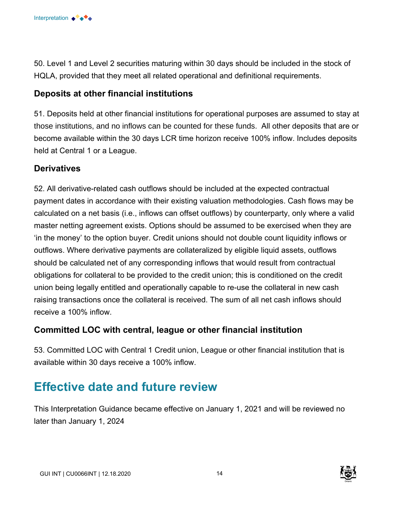

50. Level 1 and Level 2 securities maturing within 30 days should be included in the stock of HQLA, provided that they meet all related operational and definitional requirements.

# **Deposits at other financial institutions**

51. Deposits held at other financial institutions for operational purposes are assumed to stay at those institutions, and no inflows can be counted for these funds. All other deposits that are or become available within the 30 days LCR time horizon receive 100% inflow. Includes deposits held at Central 1 or a League.

# **Derivatives**

52. All derivative-related cash outflows should be included at the expected contractual payment dates in accordance with their existing valuation methodologies. Cash flows may be calculated on a net basis (i.e., inflows can offset outflows) by counterparty, only where a valid master netting agreement exists. Options should be assumed to be exercised when they are 'in the money' to the option buyer. Credit unions should not double count liquidity inflows or outflows. Where derivative payments are collateralized by eligible liquid assets, outflows should be calculated net of any corresponding inflows that would result from contractual obligations for collateral to be provided to the credit union; this is conditioned on the credit union being legally entitled and operationally capable to re-use the collateral in new cash raising transactions once the collateral is received. The sum of all net cash inflows should receive a 100% inflow.

### **Committed LOC with central, league or other financial institution**

53. Committed LOC with Central 1 Credit union, League or other financial institution that is available within 30 days receive a 100% inflow.

# **Effective date and future review**

This Interpretation Guidance became effective on January 1, 2021 and will be reviewed no later than January 1, 2024

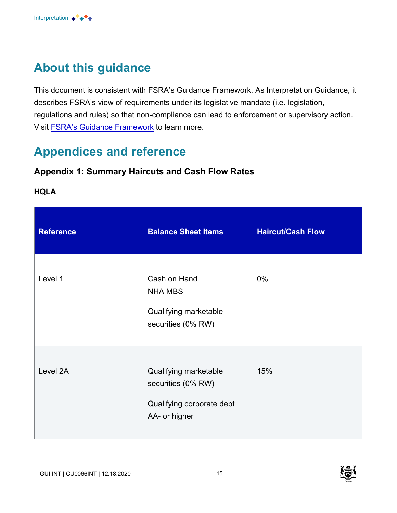

# **About this guidance**

This document is consistent with FSRA's Guidance Framework. As Interpretation Guidance, it describes FSRA's view of requirements under its legislative mandate (i.e. legislation, regulations and rules) so that non-compliance can lead to enforcement or supervisory action. Visit [FSRA's Guidance Framework](https://fsraostg.prod.acquia-sites.com/regulation/guidance/fsra-guidance-framework) to learn more.

# **Appendices and reference**

# **Appendix 1: Summary Haircuts and Cash Flow Rates**

#### **HQLA**

| <b>Reference</b> | <b>Balance Sheet Items</b>                                                                | <b>Haircut/Cash Flow</b> |
|------------------|-------------------------------------------------------------------------------------------|--------------------------|
| Level 1          | Cash on Hand<br><b>NHA MBS</b><br>Qualifying marketable<br>securities (0% RW)             | 0%                       |
| Level 2A         | Qualifying marketable<br>securities (0% RW)<br>Qualifying corporate debt<br>AA- or higher | 15%                      |

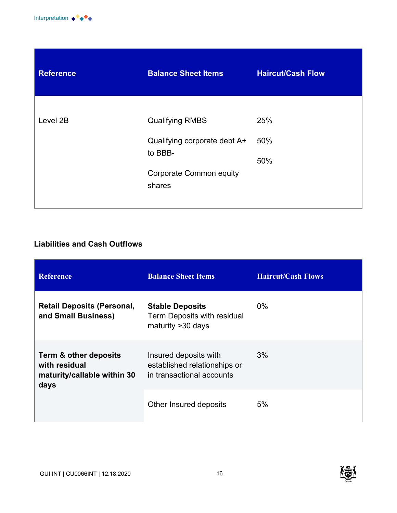

| <b>Reference</b> | <b>Balance Sheet Items</b>     | <b>Haircut/Cash Flow</b> |
|------------------|--------------------------------|--------------------------|
|                  |                                |                          |
| Level 2B         | <b>Qualifying RMBS</b>         | 25%                      |
| to BBB-          | Qualifying corporate debt A+   | 50%                      |
|                  |                                | 50%                      |
|                  | <b>Corporate Common equity</b> |                          |
|                  | shares                         |                          |
|                  |                                |                          |

# **Liabilities and Cash Outflows**

| <b>Reference</b>                                                              | <b>Balance Sheet Items</b>                                                         | <b>Haircut/Cash Flows</b> |
|-------------------------------------------------------------------------------|------------------------------------------------------------------------------------|---------------------------|
| <b>Retail Deposits (Personal,</b><br>and Small Business)                      | <b>Stable Deposits</b><br>Term Deposits with residual<br>maturity > 30 days        | $0\%$                     |
| Term & other deposits<br>with residual<br>maturity/callable within 30<br>days | Insured deposits with<br>established relationships or<br>in transactional accounts | 3%                        |
|                                                                               | Other Insured deposits                                                             | 5%                        |

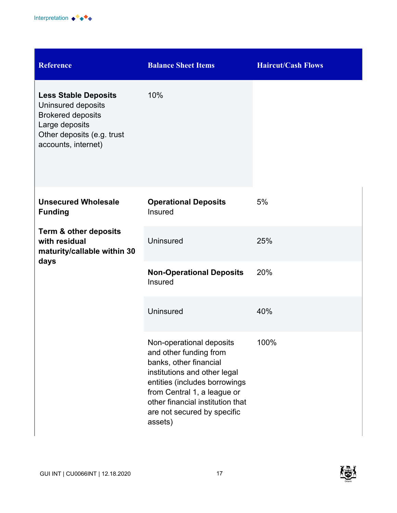

| <b>Reference</b>                                                                                                                                     | <b>Balance Sheet Items</b>                                                                                                                                                                                                                                 | <b>Haircut/Cash Flows</b> |
|------------------------------------------------------------------------------------------------------------------------------------------------------|------------------------------------------------------------------------------------------------------------------------------------------------------------------------------------------------------------------------------------------------------------|---------------------------|
| <b>Less Stable Deposits</b><br>Uninsured deposits<br><b>Brokered deposits</b><br>Large deposits<br>Other deposits (e.g. trust<br>accounts, internet) | 10%                                                                                                                                                                                                                                                        |                           |
| <b>Unsecured Wholesale</b><br><b>Funding</b>                                                                                                         | <b>Operational Deposits</b><br>Insured                                                                                                                                                                                                                     | 5%                        |
| <b>Term &amp; other deposits</b><br>with residual<br>maturity/callable within 30<br>days                                                             | <b>Uninsured</b>                                                                                                                                                                                                                                           | 25%                       |
|                                                                                                                                                      | <b>Non-Operational Deposits</b><br>Insured                                                                                                                                                                                                                 | 20%                       |
|                                                                                                                                                      | <b>Uninsured</b>                                                                                                                                                                                                                                           | 40%                       |
|                                                                                                                                                      | Non-operational deposits<br>and other funding from<br>banks, other financial<br>institutions and other legal<br>entities (includes borrowings<br>from Central 1, a league or<br>other financial institution that<br>are not secured by specific<br>assets) | 100%                      |

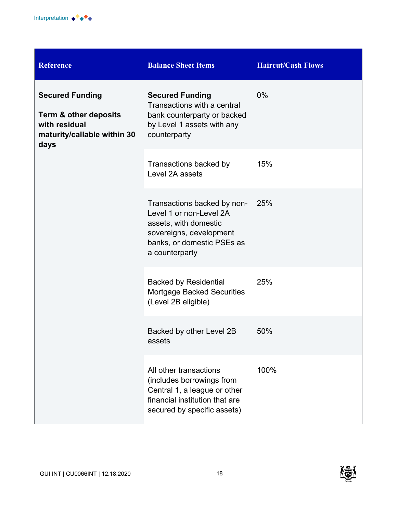

| <b>Reference</b>                                                                                                   | <b>Balance Sheet Items</b>                                                                                                                                 | <b>Haircut/Cash Flows</b> |
|--------------------------------------------------------------------------------------------------------------------|------------------------------------------------------------------------------------------------------------------------------------------------------------|---------------------------|
| <b>Secured Funding</b><br><b>Term &amp; other deposits</b><br>with residual<br>maturity/callable within 30<br>days | <b>Secured Funding</b><br>Transactions with a central<br>bank counterparty or backed<br>by Level 1 assets with any<br>counterparty                         | 0%                        |
|                                                                                                                    | Transactions backed by<br>Level 2A assets                                                                                                                  | 15%                       |
|                                                                                                                    | Transactions backed by non-<br>Level 1 or non-Level 2A<br>assets, with domestic<br>sovereigns, development<br>banks, or domestic PSEs as<br>a counterparty | 25%                       |
|                                                                                                                    | <b>Backed by Residential</b><br><b>Mortgage Backed Securities</b><br>(Level 2B eligible)                                                                   | 25%                       |
|                                                                                                                    | Backed by other Level 2B<br>assets                                                                                                                         | 50%                       |
|                                                                                                                    | All other transactions<br>(includes borrowings from<br>Central 1, a league or other<br>financial institution that are<br>secured by specific assets)       | 100%                      |

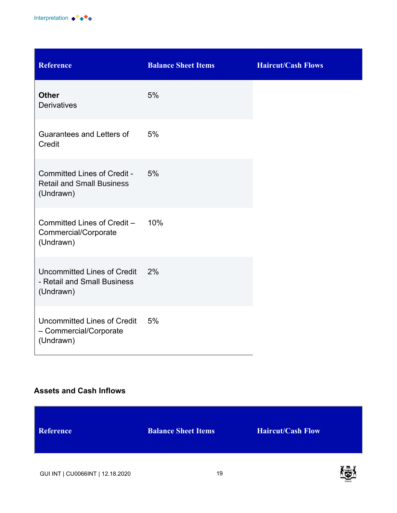

| <b>Reference</b>                                                                    | <b>Balance Sheet Items</b> | <b>Haircut/Cash Flows</b> |
|-------------------------------------------------------------------------------------|----------------------------|---------------------------|
| <b>Other</b><br><b>Derivatives</b>                                                  | 5%                         |                           |
| Guarantees and Letters of<br>Credit                                                 | 5%                         |                           |
| <b>Committed Lines of Credit -</b><br><b>Retail and Small Business</b><br>(Undrawn) | 5%                         |                           |
| Committed Lines of Credit -<br>Commercial/Corporate<br>(Undrawn)                    | 10%                        |                           |
| Uncommitted Lines of Credit<br>- Retail and Small Business<br>(Undrawn)             | 2%                         |                           |
| Uncommitted Lines of Credit<br>- Commercial/Corporate<br>(Undrawn)                  | 5%                         |                           |

#### **Assets and Cash Inflows**

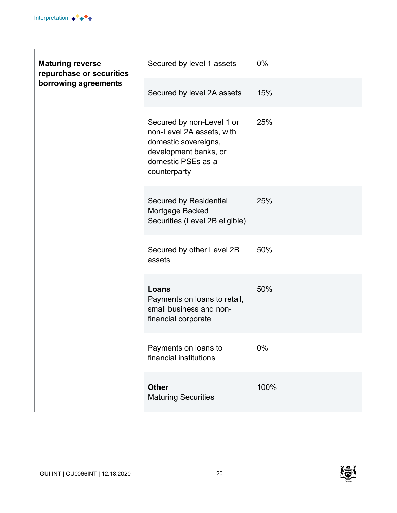| <b>Maturing reverse</b><br>repurchase or securities<br>borrowing agreements | Secured by level 1 assets                                                                                                                     | 0%    |
|-----------------------------------------------------------------------------|-----------------------------------------------------------------------------------------------------------------------------------------------|-------|
|                                                                             | Secured by level 2A assets                                                                                                                    | 15%   |
|                                                                             | Secured by non-Level 1 or<br>non-Level 2A assets, with<br>domestic sovereigns,<br>development banks, or<br>domestic PSEs as a<br>counterparty | 25%   |
|                                                                             | Secured by Residential<br>Mortgage Backed<br>Securities (Level 2B eligible)                                                                   | 25%   |
|                                                                             | Secured by other Level 2B<br>assets                                                                                                           | 50%   |
|                                                                             | Loans<br>Payments on loans to retail,<br>small business and non-<br>financial corporate                                                       | 50%   |
|                                                                             | Payments on loans to<br>financial institutions                                                                                                | $0\%$ |
|                                                                             | <b>Other</b><br><b>Maturing Securities</b>                                                                                                    | 100%  |

 $\overline{\phantom{a}}$